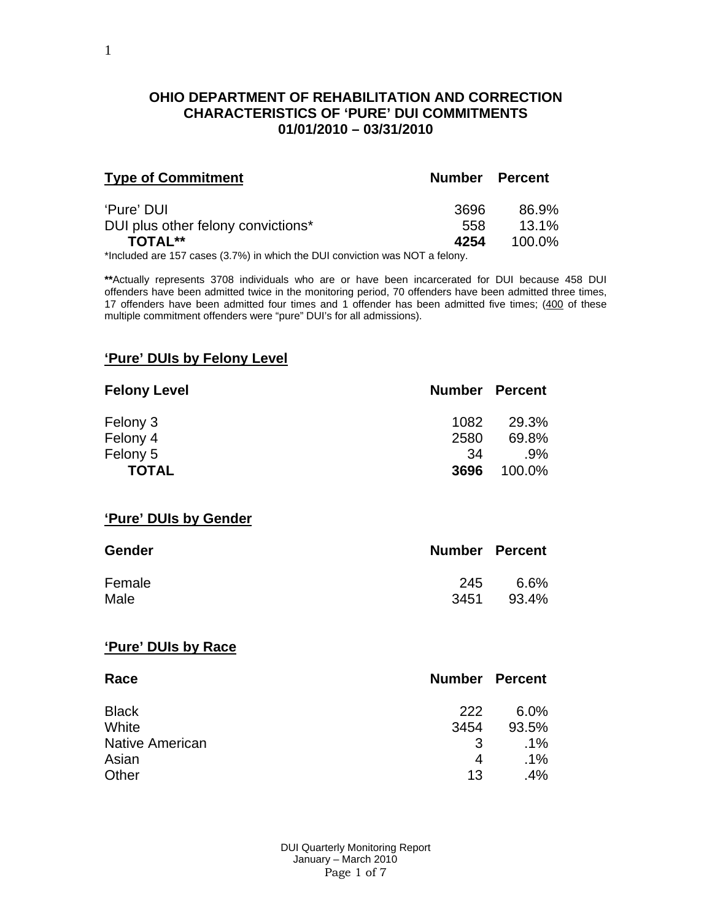## **OHIO DEPARTMENT OF REHABILITATION AND CORRECTION CHARACTERISTICS OF 'PURE' DUI COMMITMENTS 01/01/2010 – 03/31/2010**

| <b>Type of Commitment</b>                        | <b>Number Percent</b> |                   |
|--------------------------------------------------|-----------------------|-------------------|
| 'Pure' DUI<br>DUI plus other felony convictions* | 3696<br>558           | 86.9%<br>$13.1\%$ |
| TOTAL**                                          | 4254                  | 100.0%            |

\*Included are 157 cases (3.7%) in which the DUI conviction was NOT a felony.

**\*\***Actually represents 3708 individuals who are or have been incarcerated for DUI because 458 DUI offenders have been admitted twice in the monitoring period, 70 offenders have been admitted three times, 17 offenders have been admitted four times and 1 offender has been admitted five times; (400 of these multiple commitment offenders were "pure" DUI's for all admissions).

#### **'Pure' DUIs by Felony Level**

| <b>Felony Level</b> | <b>Number Percent</b> |        |
|---------------------|-----------------------|--------|
| Felony 3            | 1082                  | 29.3%  |
| Felony 4            | 2580                  | 69.8%  |
| Felony 5            | -34                   | $.9\%$ |
| <b>TOTAL</b>        | 3696                  | 100.0% |

### **'Pure' DUIs by Gender**

| <b>Gender</b> | <b>Number Percent</b> |       |
|---------------|-----------------------|-------|
| Female        | 245                   | 6.6%  |
| Male          | 3451                  | 93.4% |

#### **'Pure' DUIs by Race**

| Race                   | <b>Number Percent</b> |         |
|------------------------|-----------------------|---------|
| <b>Black</b>           | 222                   | $6.0\%$ |
| White                  | 3454                  | 93.5%   |
| <b>Native American</b> | 3                     | $.1\%$  |
| Asian                  | 4                     | $.1\%$  |
| Other                  | 13                    | .4%     |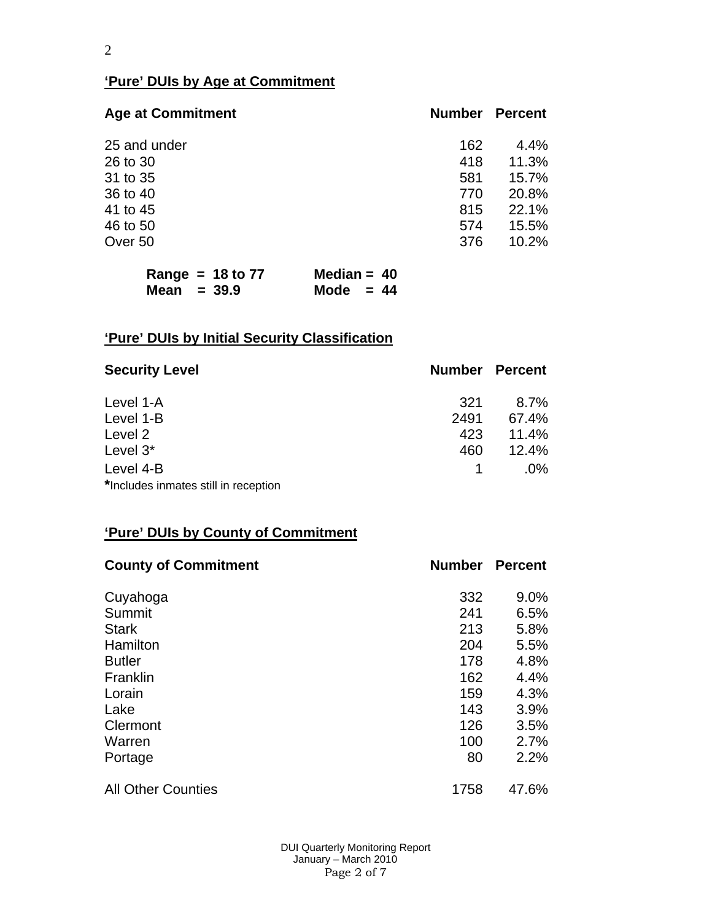## **'Pure' DUIs by Age at Commitment**

| <b>Age at Commitment</b> | <b>Number</b> | <b>Percent</b> |
|--------------------------|---------------|----------------|
| 25 and under             | 162           | 4.4%           |
| 26 to 30                 | 418           | 11.3%          |
| 31 to 35                 | 581           | 15.7%          |
| 36 to 40                 | 770           | 20.8%          |
| 41 to 45                 | 815           | 22.1%          |
| 46 to 50                 | 574           | 15.5%          |
| Over 50                  | 376           | 10.2%          |

|               | Range = $18$ to 77 | Median = $40$ |  |
|---------------|--------------------|---------------|--|
| Mean $= 39.9$ |                    | Mode $= 44$   |  |

# **'Pure' DUIs by Initial Security Classification**

| <b>Security Level</b>                | <b>Number Percent</b> |         |
|--------------------------------------|-----------------------|---------|
| Level 1-A                            | 321                   | $8.7\%$ |
| Level 1-B                            | 2491                  | 67.4%   |
| Level 2                              | 423                   | 11.4%   |
| Level 3*                             | 460                   | 12.4%   |
| Level 4-B                            |                       | $.0\%$  |
| *Includes inmates still in reception |                       |         |

# **'Pure' DUIs by County of Commitment**

| <b>County of Commitment</b> | <b>Number</b> | <b>Percent</b> |
|-----------------------------|---------------|----------------|
| Cuyahoga                    | 332           | $9.0\%$        |
| Summit                      | 241           | 6.5%           |
| <b>Stark</b>                | 213           | 5.8%           |
| Hamilton                    | 204           | 5.5%           |
| <b>Butler</b>               | 178           | 4.8%           |
| Franklin                    | 162           | 4.4%           |
| Lorain                      | 159           | 4.3%           |
| Lake                        | 143           | 3.9%           |
| Clermont                    | 126           | 3.5%           |
| Warren                      | 100           | 2.7%           |
| Portage                     | 80            | 2.2%           |
| <b>All Other Counties</b>   | 1758          | 47.6%          |

 DUI Quarterly Monitoring Report January – March 2010 Page 2 of 7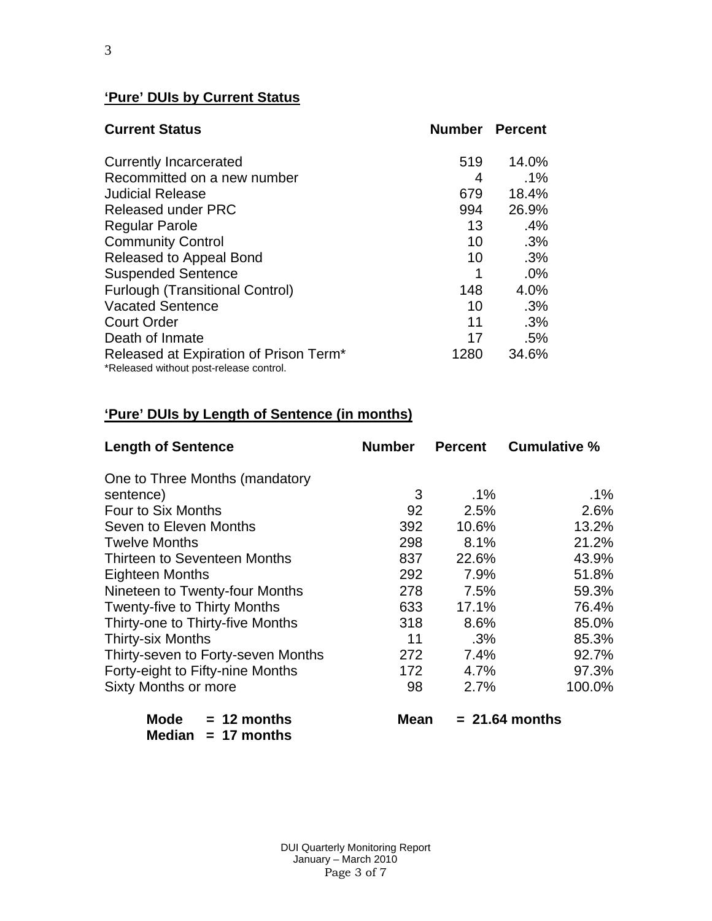## **'Pure' DUIs by Current Status**

|      | <b>Number Percent</b> |
|------|-----------------------|
| 519  | 14.0%                 |
| 4    | $.1\%$                |
| 679  | 18.4%                 |
| 994  | 26.9%                 |
| 13   | .4%                   |
| 10   | .3%                   |
| 10   | .3%                   |
| 1    | .0%                   |
| 148  | 4.0%                  |
| 10   | .3%                   |
| 11   | .3%                   |
| 17   | .5%                   |
| 1280 | 34.6%                 |
|      |                       |

# **'Pure' DUIs by Length of Sentence (in months)**

| <b>Length of Sentence</b>           | <b>Number</b> | <b>Percent</b> | <b>Cumulative %</b> |
|-------------------------------------|---------------|----------------|---------------------|
| One to Three Months (mandatory      |               |                |                     |
| sentence)                           | 3             | $.1\%$         | .1%                 |
| Four to Six Months                  | 92            | 2.5%           | 2.6%                |
| Seven to Eleven Months              | 392           | 10.6%          | 13.2%               |
| <b>Twelve Months</b>                | 298           | 8.1%           | 21.2%               |
| Thirteen to Seventeen Months        | 837           | 22.6%          | 43.9%               |
| <b>Eighteen Months</b>              | 292           | 7.9%           | 51.8%               |
| Nineteen to Twenty-four Months      | 278           | 7.5%           | 59.3%               |
| <b>Twenty-five to Thirty Months</b> | 633           | 17.1%          | 76.4%               |
| Thirty-one to Thirty-five Months    | 318           | 8.6%           | 85.0%               |
| <b>Thirty-six Months</b>            | 11            | $.3\%$         | 85.3%               |
| Thirty-seven to Forty-seven Months  | 272           | 7.4%           | 92.7%               |
| Forty-eight to Fifty-nine Months    | 172           | 4.7%           | 97.3%               |
| <b>Sixty Months or more</b>         | 98            | 2.7%           | 100.0%              |
| Mode<br>$= 12$ months               | <b>Mean</b>   |                | $= 21.64$ months    |

| <b>MODE</b>          |  | $= 12$ montns |
|----------------------|--|---------------|
| Median $= 17$ months |  |               |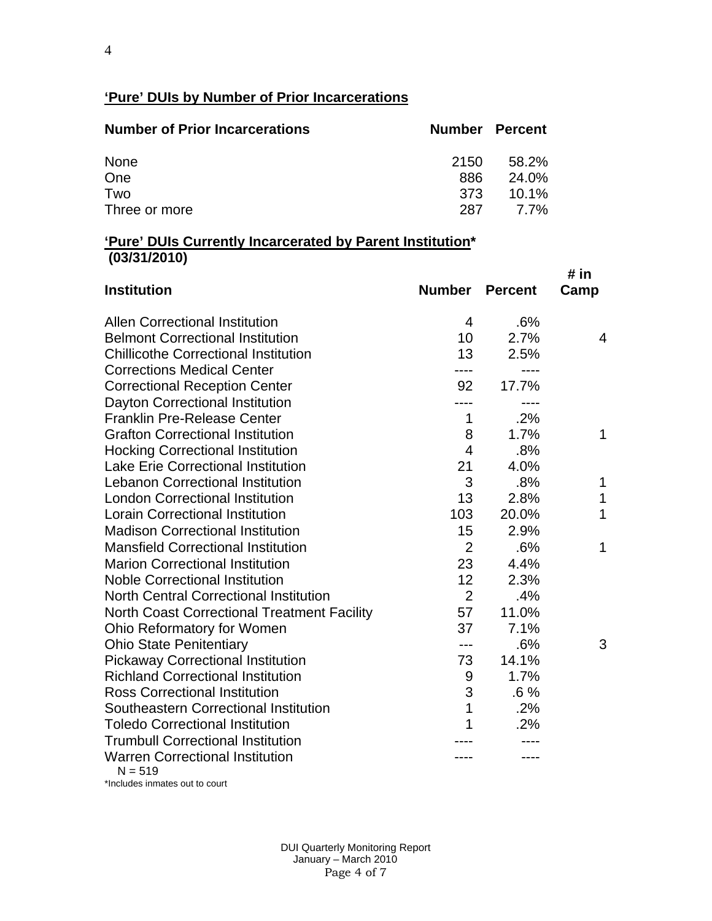## **'Pure' DUIs by Number of Prior Incarcerations**

| <b>Number of Prior Incarcerations</b> | <b>Number Percent</b> |       |
|---------------------------------------|-----------------------|-------|
| <b>None</b>                           | 2150                  | 58.2% |
| One                                   | 886                   | 24.0% |
| Two                                   | 373                   | 10.1% |
| Three or more                         | 287                   | 7.7%  |

## **'Pure' DUIs Currently Incarcerated by Parent Institution\* (03/31/2010)**

| <b>Institution</b>                                  | <b>Number</b>  | <b>Percent</b> | # in<br>Camp |
|-----------------------------------------------------|----------------|----------------|--------------|
| <b>Allen Correctional Institution</b>               | 4              | .6%            |              |
| <b>Belmont Correctional Institution</b>             | 10             | 2.7%           | 4            |
| <b>Chillicothe Correctional Institution</b>         | 13             | 2.5%           |              |
| <b>Corrections Medical Center</b>                   |                |                |              |
| <b>Correctional Reception Center</b>                | 92             | 17.7%          |              |
| Dayton Correctional Institution                     |                |                |              |
| <b>Franklin Pre-Release Center</b>                  | 1              | .2%            |              |
| <b>Grafton Correctional Institution</b>             | 8              | 1.7%           | 1            |
| <b>Hocking Correctional Institution</b>             | $\overline{4}$ | .8%            |              |
| <b>Lake Erie Correctional Institution</b>           | 21             | 4.0%           |              |
| <b>Lebanon Correctional Institution</b>             | 3              | .8%            | 1            |
| <b>London Correctional Institution</b>              | 13             | 2.8%           | 1            |
| <b>Lorain Correctional Institution</b>              | 103            | 20.0%          | 1            |
| <b>Madison Correctional Institution</b>             | 15             | 2.9%           |              |
| <b>Mansfield Correctional Institution</b>           | $\overline{2}$ | .6%            | 1            |
| <b>Marion Correctional Institution</b>              | 23             | 4.4%           |              |
| <b>Noble Correctional Institution</b>               | 12             | 2.3%           |              |
| <b>North Central Correctional Institution</b>       | $\overline{2}$ | .4%            |              |
| <b>North Coast Correctional Treatment Facility</b>  | 57             | 11.0%          |              |
| <b>Ohio Reformatory for Women</b>                   | 37             | 7.1%           |              |
| <b>Ohio State Penitentiary</b>                      | $---$          | .6%            | 3            |
| <b>Pickaway Correctional Institution</b>            | 73             | 14.1%          |              |
| <b>Richland Correctional Institution</b>            | 9              | 1.7%           |              |
| <b>Ross Correctional Institution</b>                | 3              | $.6\%$         |              |
| Southeastern Correctional Institution               | 1              | .2%            |              |
| <b>Toledo Correctional Institution</b>              |                | .2%            |              |
| <b>Trumbull Correctional Institution</b>            |                |                |              |
| <b>Warren Correctional Institution</b><br>$N = 519$ |                |                |              |

\*Includes inmates out to court

 DUI Quarterly Monitoring Report January – March 2010 Page 4 of 7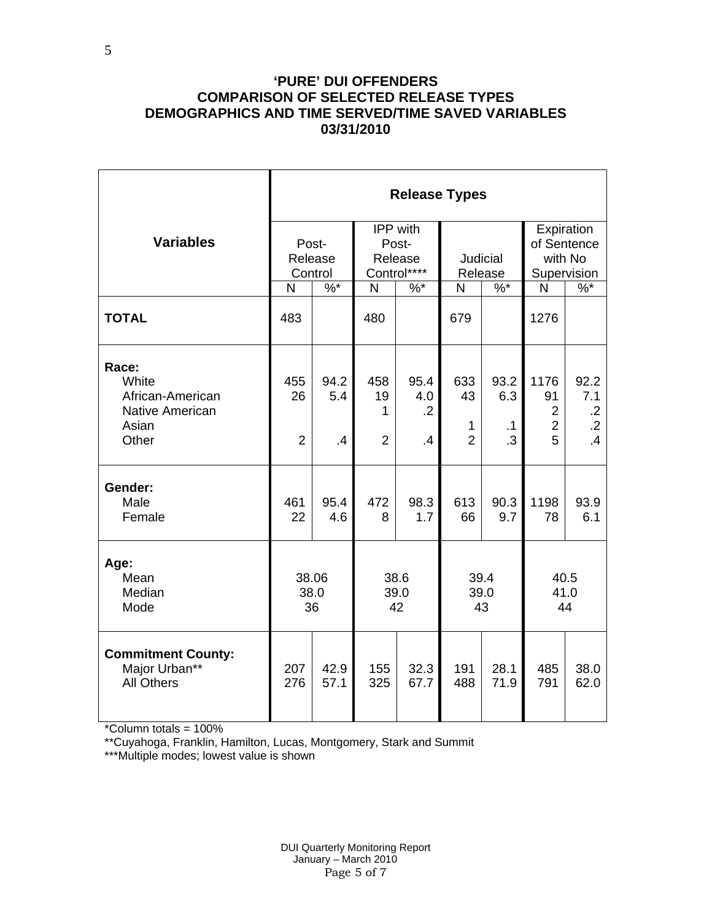## **'PURE' DUI OFFENDERS COMPARISON OF SELECTED RELEASE TYPES DEMOGRAPHICS AND TIME SERVED/TIME SAVED VARIABLES 03/31/2010**

|                                                                                | <b>Release Types</b>        |                     |                                  |                                                    |                                             |                                |                                                     |                                                           |  |  |
|--------------------------------------------------------------------------------|-----------------------------|---------------------|----------------------------------|----------------------------------------------------|---------------------------------------------|--------------------------------|-----------------------------------------------------|-----------------------------------------------------------|--|--|
| <b>Variables</b>                                                               | Post-<br>Release<br>Control |                     |                                  | <b>IPP</b> with<br>Post-<br>Release<br>Control**** |                                             | Judicial<br>Release            | Expiration<br>of Sentence<br>with No<br>Supervision |                                                           |  |  |
|                                                                                | N                           | $\%$ *              | N                                | $%^*$                                              | N                                           | $\%$ $*$                       | N                                                   | $\%$ *                                                    |  |  |
| <b>TOTAL</b>                                                                   | 483                         |                     | 480                              |                                                    | 679                                         |                                | 1276                                                |                                                           |  |  |
| Race:<br>White<br>African-American<br><b>Native American</b><br>Asian<br>Other | 455<br>26<br>$\overline{2}$ | 94.2<br>5.4<br>.4   | 458<br>19<br>1<br>$\overline{2}$ | 95.4<br>4.0<br>$\cdot$ .2<br>$\overline{A}$        | 633<br>43<br>$\mathbf{1}$<br>$\overline{2}$ | 93.2<br>6.3<br>$\cdot$ 1<br>.3 | 1176<br>91<br>$\overline{2}$<br>$\overline{2}$<br>5 | 92.2<br>7.1<br>$\cdot$ .2<br>$\cdot$ .2<br>$\overline{A}$ |  |  |
| Gender:<br>Male<br>Female                                                      | 461<br>22                   | 95.4<br>4.6         | 472<br>8                         | 98.3<br>1.7                                        | 613<br>66                                   | 90.3<br>9.7                    | 1198<br>78                                          | 93.9<br>6.1                                               |  |  |
| Age:<br>Mean<br>Median<br>Mode                                                 |                             | 38.06<br>38.0<br>36 |                                  | 38.6<br>39.0<br>42                                 | 39.4<br>39.0<br>43                          |                                | 40.5<br>41.0<br>44                                  |                                                           |  |  |
| <b>Commitment County:</b><br>Major Urban**<br><b>All Others</b>                | 207<br>276                  | 42.9<br>57.1        | 155<br>325                       | 32.3<br>67.7                                       | 191<br>488                                  | 28.1<br>71.9                   | 485<br>791                                          | 38.0<br>62.0                                              |  |  |

\*Column totals = 100%

5

\*\*Cuyahoga, Franklin, Hamilton, Lucas, Montgomery, Stark and Summit

\*\*\*Multiple modes; lowest value is shown

 DUI Quarterly Monitoring Report January – March 2010 Page 5 of 7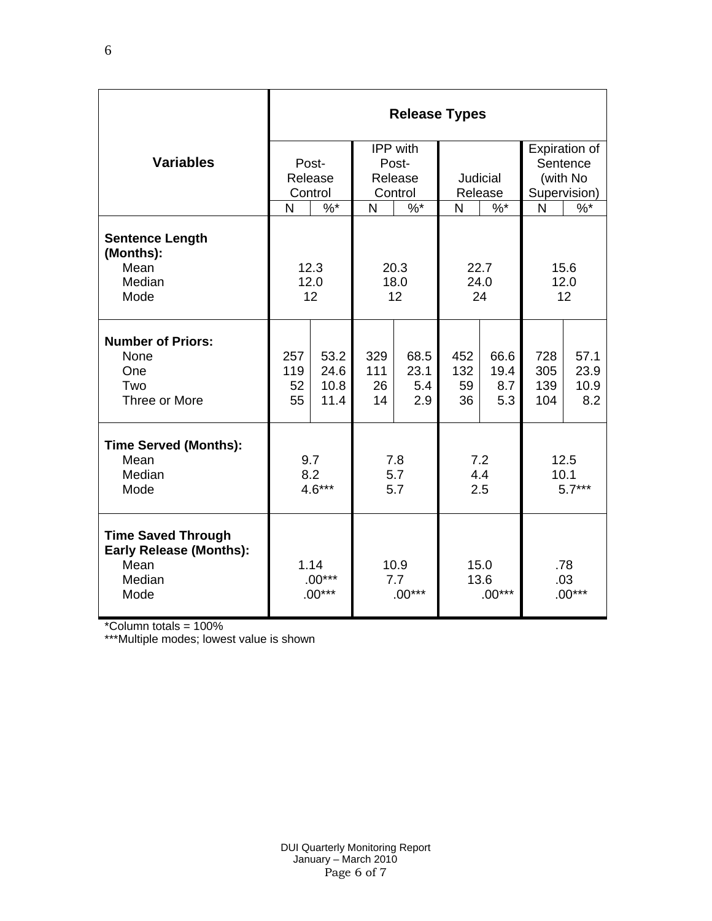|                                                                                       | <b>Release Types</b>                     |                              |                         |                            |                        |                            |                          |                             |  |  |
|---------------------------------------------------------------------------------------|------------------------------------------|------------------------------|-------------------------|----------------------------|------------------------|----------------------------|--------------------------|-----------------------------|--|--|
|                                                                                       |                                          |                              |                         | IPP with                   |                        |                            | Expiration of            |                             |  |  |
| <b>Variables</b>                                                                      |                                          | Post-                        |                         | Post-                      |                        |                            | Sentence                 |                             |  |  |
|                                                                                       |                                          | Release                      |                         | Release                    |                        | Judicial                   | (with No                 |                             |  |  |
|                                                                                       |                                          | Control                      |                         | Control                    | Release                |                            | Supervision)             |                             |  |  |
|                                                                                       | N                                        | $%^*$                        | N                       | $%^*$                      | N                      | $\%$ *                     | N                        | $\%$                        |  |  |
| <b>Sentence Length</b><br>(Months):<br>Mean<br>Median<br>Mode                         | 12.3<br>20.3<br>12.0<br>18.0<br>12<br>12 |                              |                         |                            | 22.7<br>24.0<br>24     |                            | 15.6<br>12.0<br>12       |                             |  |  |
| <b>Number of Priors:</b><br>None<br>One<br>Two<br>Three or More                       | 257<br>119<br>52<br>55                   | 53.2<br>24.6<br>10.8<br>11.4 | 329<br>111<br>26<br>14  | 68.5<br>23.1<br>5.4<br>2.9 | 452<br>132<br>59<br>36 | 66.6<br>19.4<br>8.7<br>5.3 | 728<br>305<br>139<br>104 | 57.1<br>23.9<br>10.9<br>8.2 |  |  |
| <b>Time Served (Months):</b><br>Mean<br>Median<br>Mode                                | 9.7<br>8.2<br>$4.6***$                   |                              | 7.8<br>5.7<br>5.7       |                            | 7.2<br>4.4<br>2.5      |                            | 12.5<br>10.1<br>$5.7***$ |                             |  |  |
| <b>Time Saved Through</b><br><b>Early Release (Months):</b><br>Mean<br>Median<br>Mode | 1.14<br>$.00***$<br>$.00***$             |                              | 10.9<br>7.7<br>$.00***$ |                            |                        | 15.0<br>13.6<br>$.00***$   | .78<br>.03<br>$.00***$   |                             |  |  |

\*Column totals = 100%

\*\*\*Multiple modes; lowest value is shown

6